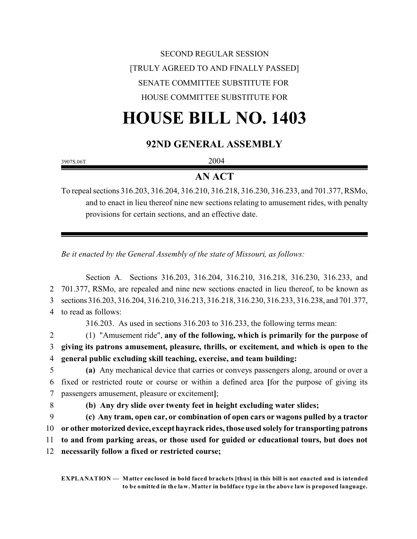## SECOND REGULAR SESSION [TRULY AGREED TO AND FINALLY PASSED] SENATE COMMITTEE SUBSTITUTE FOR HOUSE COMMITTEE SUBSTITUTE FOR

# **HOUSE BILL NO. 1403**

## **92ND GENERAL ASSEMBLY**

3907S.06T 2004

## **AN ACT**

To repeal sections 316.203, 316.204, 316.210, 316.218, 316.230, 316.233, and 701.377, RSMo, and to enact in lieu thereof nine new sections relating to amusement rides, with penalty provisions for certain sections, and an effective date.

*Be it enacted by the General Assembly of the state of Missouri, as follows:*

Section A. Sections 316.203, 316.204, 316.210, 316.218, 316.230, 316.233, and 701.377, RSMo, are repealed and nine new sections enacted in lieu thereof, to be known as sections 316.203, 316.204, 316.210, 316.213, 316.218, 316.230, 316.233, 316.238, and 701.377, to read as follows: 316.203. As used in sections 316.203 to 316.233, the following terms mean: (1) "Amusement ride", **any of the following, which is primarily for the purpose of giving its patrons amusement, pleasure, thrills, or excitement, and which is open to the general public excluding skill teaching, exercise, and team building: (a)** Any mechanical device that carries or conveys passengers along, around or over a fixed or restricted route or course or within a defined area **[**for the purpose of giving its passengers amusement, pleasure or excitement**]**; **(b) Any dry slide over twenty feet in height excluding water slides; (c) Any tram, open car, or combination of open cars or wagons pulled by a tractor or other motorized device, except hayrack rides, those used solely for transporting patrons to and from parking areas, or those used for guided or educational tours, but does not necessarily follow a fixed or restricted course;**

**EXPLANATION — Matter enclosed in bold faced brackets [thus] in this bill is not enacted and is intended to be omitted in the law. Matter in boldface type in the above law is proposed language.**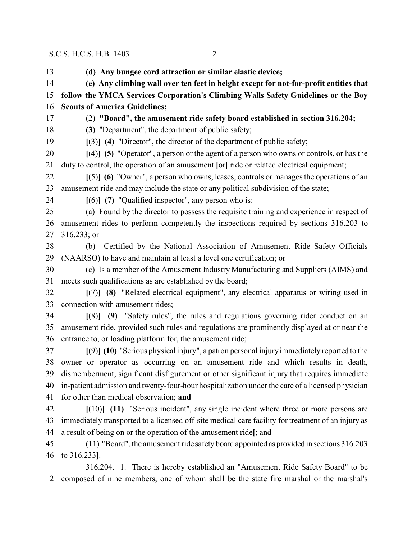**(d) Any bungee cord attraction or similar elastic device; (e) Any climbing wall over ten feet in height except for not-for-profit entities that follow the YMCA Services Corporation's Climbing Walls Safety Guidelines or the Boy Scouts of America Guidelines;** (2) **"Board", the amusement ride safety board established in section 316.204; (3)** "Department", the department of public safety; **[**(3)**] (4)** "Director", the director of the department of public safety; **[**(4)**] (5)** "Operator", a person or the agent of a person who owns or controls, or has the duty to control, the operation of an amusement **[**or**]** ride or related electrical equipment; **[**(5)**] (6)** "Owner", a person who owns, leases, controls or manages the operations of an amusement ride and may include the state or any political subdivision of the state; **[**(6)**] (7)** "Qualified inspector", any person who is: (a) Found by the director to possess the requisite training and experience in respect of amusement rides to perform competently the inspections required by sections 316.203 to 316.233; or (b) Certified by the National Association of Amusement Ride Safety Officials (NAARSO) to have and maintain at least a level one certification; or (c) Is a member of the Amusement Industry Manufacturing and Suppliers (AIMS) and meets such qualifications as are established by the board; **[**(7)**] (8)** "Related electrical equipment", any electrical apparatus or wiring used in connection with amusement rides; **[**(8)**] (9)** "Safety rules", the rules and regulations governing rider conduct on an amusement ride, provided such rules and regulations are prominently displayed at or near the entrance to, or loading platform for, the amusement ride; **[**(9)**] (10)** "Serious physical injury", a patron personal injury immediately reported to the owner or operator as occurring on an amusement ride and which results in death, dismemberment, significant disfigurement or other significant injury that requires immediate in-patient admission and twenty-four-hour hospitalization under the care of a licensed physician for other than medical observation; **and [**(10)**] (11)** "Serious incident", any single incident where three or more persons are immediately transported to a licensed off-site medical care facility for treatment of an injury as a result of being on or the operation of the amusement ride**[**; and (11) "Board", the amusement ride safety board appointed as provided in sections 316.203 to 316.233**]**. 316.204. 1. There is hereby established an "Amusement Ride Safety Board" to be composed of nine members, one of whom shall be the state fire marshal or the marshal's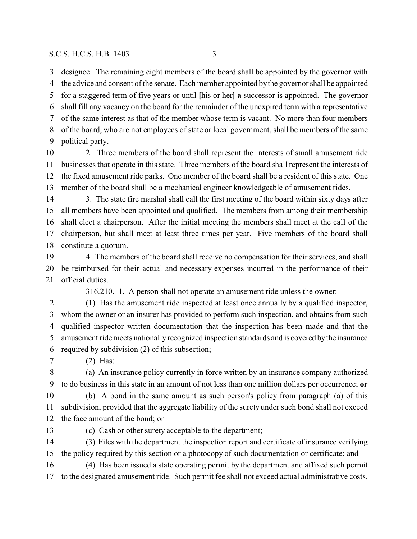designee. The remaining eight members of the board shall be appointed by the governor with the advice and consent of the senate. Each member appointed by the governor shall be appointed for a staggered term of five years or until **[**his or her**] a** successor is appointed. The governor shall fill any vacancy on the board for the remainder of the unexpired term with a representative of the same interest as that of the member whose term is vacant. No more than four members of the board, who are not employees of state or local government, shall be members of the same political party.

 2. Three members of the board shall represent the interests of small amusement ride businesses that operate in this state. Three members of the board shall represent the interests of the fixed amusement ride parks. One member of the board shall be a resident of this state. One member of the board shall be a mechanical engineer knowledgeable of amusement rides.

14 3. The state fire marshal shall call the first meeting of the board within sixty days after all members have been appointed and qualified. The members from among their membership shall elect a chairperson. After the initial meeting the members shall meet at the call of the chairperson, but shall meet at least three times per year. Five members of the board shall constitute a quorum.

 4. The members of the board shall receive no compensation for their services, and shall be reimbursed for their actual and necessary expenses incurred in the performance of their official duties.

316.210. 1. A person shall not operate an amusement ride unless the owner:

 (1) Has the amusement ride inspected at least once annually by a qualified inspector, whom the owner or an insurer has provided to perform such inspection, and obtains from such qualified inspector written documentation that the inspection has been made and that the amusement ride meets nationally recognized inspection standards and is covered bythe insurance required by subdivision (2) of this subsection;

(2) Has:

 (a) An insurance policy currently in force written by an insurance company authorized to do business in this state in an amount of not less than one million dollars per occurrence; **or** (b) A bond in the same amount as such person's policy from paragraph (a) of this subdivision, provided that the aggregate liability of the surety under such bond shall not exceed

the face amount of the bond; or

(c) Cash or other surety acceptable to the department;

 (3) Files with the department the inspection report and certificate of insurance verifying the policy required by this section or a photocopy of such documentation or certificate; and

 (4) Has been issued a state operating permit by the department and affixed such permit to the designated amusement ride. Such permit fee shall not exceed actual administrative costs.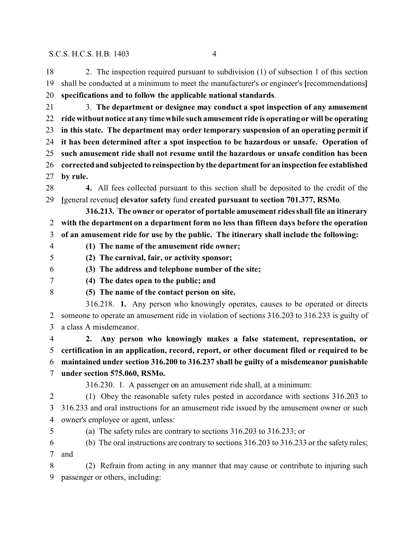2. The inspection required pursuant to subdivision (1) of subsection 1 of this section shall be conducted at a minimum to meet the manufacturer's or engineer's **[**recommendations**] specifications and to follow the applicable national standards**.

 3. **The department or designee may conduct a spot inspection of any amusement ride without notice at any time while such amusement ride is operating or will be operating in this state. The department may order temporary suspension of an operating permit if it has been determined after a spot inspection to be hazardous or unsafe. Operation of such amusement ride shall not resume until the hazardous or unsafe condition has been corrected and subjected to reinspection by the department for an inspection fee established by rule.**

 **4.** All fees collected pursuant to this section shall be deposited to the credit of the **[**general revenue**] elevator safety** fund **created pursuant to section 701.377, RSMo**.

**316.213. The owner or operator of portable amusement rides shall file an itinerary with the department on a department form no less than fifteen days before the operation of an amusement ride for use by the public. The itinerary shall include the following:**

**(1) The name of the amusement ride owner;**

**(2) The carnival, fair, or activity sponsor;**

**(3) The address and telephone number of the site;**

**(4) The dates open to the public; and**

**(5) The name of the contact person on site.**

316.218. **1.** Any person who knowingly operates, causes to be operated or directs someone to operate an amusement ride in violation of sections 316.203 to 316.233 is guilty of a class A misdemeanor.

 **2. Any person who knowingly makes a false statement, representation, or certification in an application, record, report, or other document filed or required to be maintained under section 316.200 to 316.237 shall be guilty of a misdemeanor punishable under section 575.060, RSMo.**

316.230. 1. A passenger on an amusement ride shall, at a minimum:

 (1) Obey the reasonable safety rules posted in accordance with sections 316.203 to 316.233 and oral instructions for an amusement ride issued by the amusement owner or such owner's employee or agent, unless:

- 
- (a) The safety rules are contrary to sections 316.203 to 316.233; or
- (b) The oral instructions are contrary to sections 316.203 to 316.233 or the safety rules; and

 (2) Refrain from acting in any manner that may cause or contribute to injuring such passenger or others, including: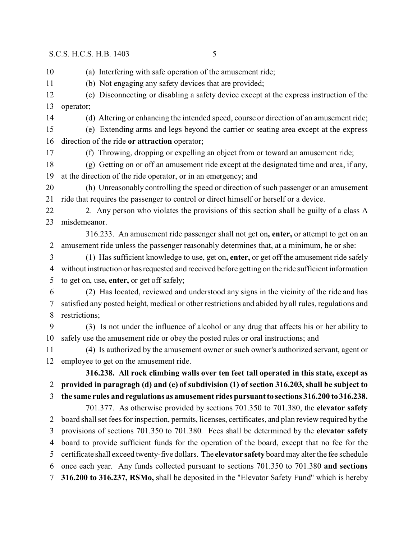(a) Interfering with safe operation of the amusement ride;

(b) Not engaging any safety devices that are provided;

 (c) Disconnecting or disabling a safety device except at the express instruction of the operator;

(d) Altering or enhancing the intended speed, course or direction of an amusement ride;

 (e) Extending arms and legs beyond the carrier or seating area except at the express direction of the ride **or attraction** operator;

(f) Throwing, dropping or expelling an object from or toward an amusement ride;

 (g) Getting on or off an amusement ride except at the designated time and area, if any, at the direction of the ride operator, or in an emergency; and

 (h) Unreasonably controlling the speed or direction of such passenger or an amusement ride that requires the passenger to control or direct himself or herself or a device.

22 2. Any person who violates the provisions of this section shall be guilty of a class A misdemeanor.

316.233. An amusement ride passenger shall not get on**, enter,** or attempt to get on an amusement ride unless the passenger reasonably determines that, at a minimum, he or she:

 (1) Has sufficient knowledge to use, get on**, enter,** or get off the amusement ride safely without instruction or hasrequested and received before getting on the ride sufficient information to get on, use**, enter,** or get off safely;

 (2) Has located, reviewed and understood any signs in the vicinity of the ride and has satisfied any posted height, medical or other restrictions and abided by all rules, regulations and restrictions;

 (3) Is not under the influence of alcohol or any drug that affects his or her ability to safely use the amusement ride or obey the posted rules or oral instructions; and

 (4) Is authorized by the amusement owner or such owner's authorized servant, agent or employee to get on the amusement ride.

**316.238. All rock climbing walls over ten feet tall operated in this state, except as provided in paragragh (d) and (e) of subdivision (1) of section 316.203, shall be subject to the same rules and regulations as amusement rides pursuant to sections 316.200 to 316.238.**

701.377. As otherwise provided by sections 701.350 to 701.380, the **elevator safety** board shall set fees for inspection, permits, licenses, certificates, and plan review required by the provisions of sections 701.350 to 701.380. Fees shall be determined by the **elevator safety** board to provide sufficient funds for the operation of the board, except that no fee for the certificate shall exceed twenty-five dollars. The **elevator safety** board may alter the fee schedule once each year. Any funds collected pursuant to sections 701.350 to 701.380 **and sections 316.200 to 316.237, RSMo,** shall be deposited in the "Elevator Safety Fund" which is hereby